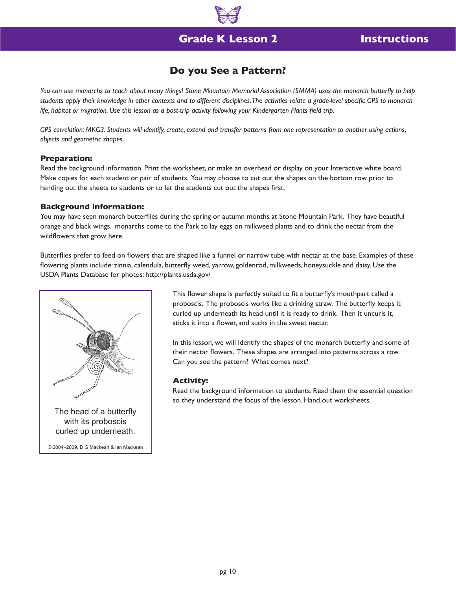

## **Grade K Lesson 2**

## **Do you See a Pattern?**

You can use monarchs to teach about many things! Stone Mountain Memorial Association (SMMA) uses the monarch butterfly to help *students apply their knowledge in other contexts and to different disciplines. The activities relate a grade-level specific GPS to monarch life, habitat or migration. Use this lesson as a post-trip activity following your Kindergarten Plants field trip.*

*GPS correlation: MKG3. Students will identify, create, extend and transfer patterns from one representation to another using actions, objects and geometric shapes.*

#### **Preparation:**

Read the background information. Print the worksheet, or make an overhead or display on your Interactive white board. Make copies for each student or pair of students. You may choose to cut out the shapes on the bottom row prior to handing out the sheets to students or to let the students cut out the shapes first.

### **Background information:**

You may have seen monarch butterflies during the spring or autumn months at Stone Mountain Park. They have beautiful orange and black wings. monarchs come to the Park to lay eggs on milkweed plants and to drink the nectar from the wildflowers that grow here.

Butterflies prefer to feed on flowers that are shaped like a funnel or narrow tube with nectar at the base. Examples of these flowering plants include: zinnia, calendula, butterfly weed, yarrow, goldenrod, milkweeds, honeysuckle and daisy. Use the USDA Plants Database for photos: http://plants.usda.gov/



This flower shape is perfectly suited to fit a butterfly's mouthpart called a proboscis. The proboscis works like a drinking straw. The butterfly keeps it curled up underneath its head until it is ready to drink. Then it uncurls it, sticks it into a flower, and sucks in the sweet nectar.

In this lesson, we will identify the shapes of the monarch butterfly and some of their nectar flowers. These shapes are arranged into patterns across a row. Can you see the pattern? What comes next?

#### **Activity:**

Read the background information to students. Read them the essential question so they understand the focus of the lesson. Hand out worksheets.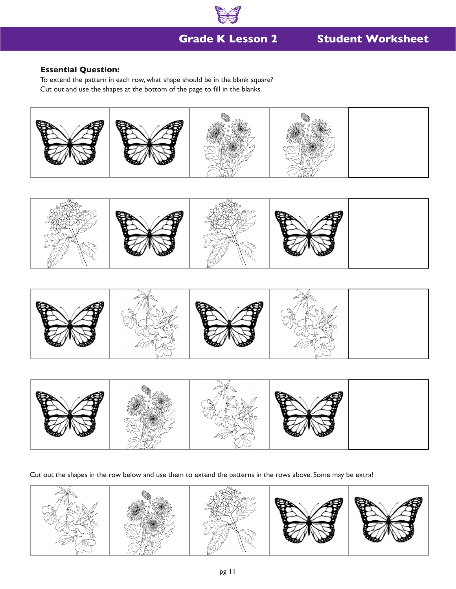

# **Grade K Lesson 2**

# **Student Worksheet**

## **Essential Question:**

To extend the pattern in each row, what shape should be in the blank square? Cut out and use the shapes at the bottom of the page to fill in the blanks.









Cut out the shapes in the row below and use them to extend the patterns in the rows above. Some may be extra!